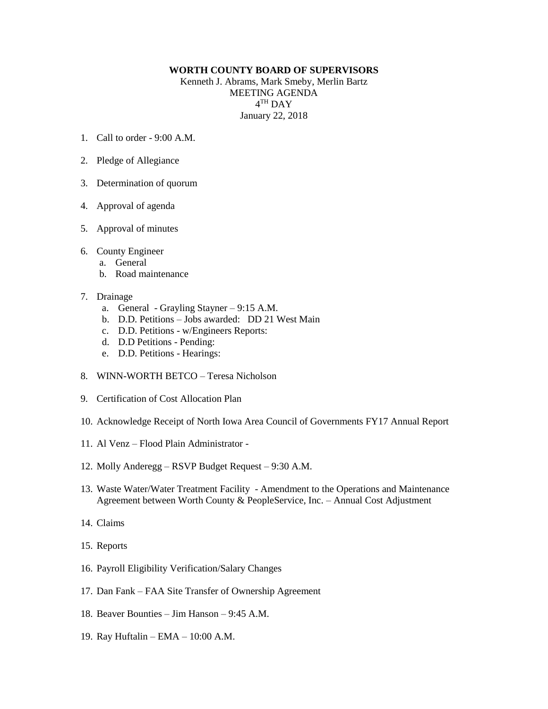## **WORTH COUNTY BOARD OF SUPERVISORS**

Kenneth J. Abrams, Mark Smeby, Merlin Bartz MEETING AGENDA  $4^{\text{TH}}$  DAY January 22, 2018

- 1. Call to order 9:00 A.M.
- 2. Pledge of Allegiance
- 3. Determination of quorum
- 4. Approval of agenda
- 5. Approval of minutes
- 6. County Engineer
	- a. General
	- b. Road maintenance
- 7. Drainage
	- a. General Grayling Stayner 9:15 A.M.
	- b. D.D. Petitions Jobs awarded: DD 21 West Main
	- c. D.D. Petitions w/Engineers Reports:
	- d. D.D Petitions Pending:
	- e. D.D. Petitions Hearings:
- 8. WINN-WORTH BETCO Teresa Nicholson
- 9. Certification of Cost Allocation Plan
- 10. Acknowledge Receipt of North Iowa Area Council of Governments FY17 Annual Report
- 11. Al Venz Flood Plain Administrator -
- 12. Molly Anderegg RSVP Budget Request 9:30 A.M.
- 13. Waste Water/Water Treatment Facility Amendment to the Operations and Maintenance Agreement between Worth County & PeopleService, Inc. – Annual Cost Adjustment
- 14. Claims
- 15. Reports
- 16. Payroll Eligibility Verification/Salary Changes
- 17. Dan Fank FAA Site Transfer of Ownership Agreement
- 18. Beaver Bounties Jim Hanson 9:45 A.M.
- 19. Ray Huftalin EMA 10:00 A.M.